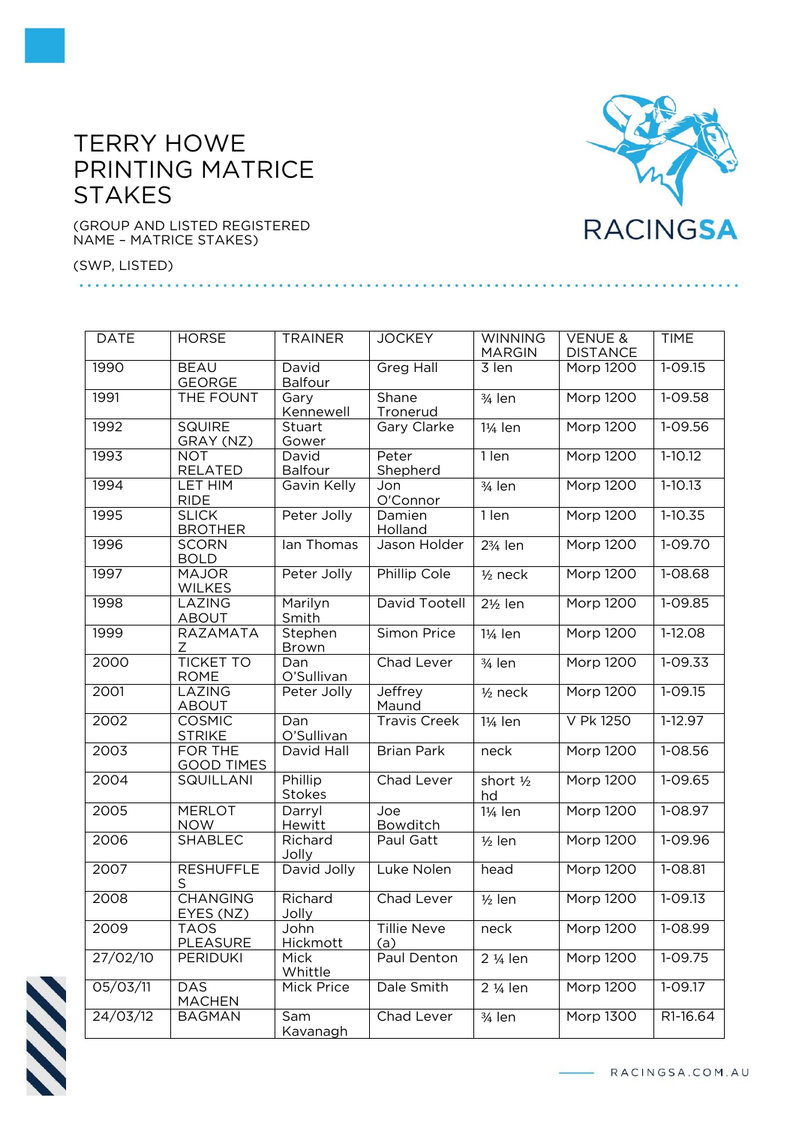## TERRY HOWE PRINTING MATRICE **STAKES**

(GROUP AND LISTED REGISTERED NAME – MATRICE STAKES)

(SWP, LISTED)

| <b>DATE</b> | <b>HORSE</b>                    | <b>TRAINER</b>          | <b>JOCKEY</b>       | <b>WINNING</b><br><b>MARGIN</b> | <b>VENUE &amp;</b><br><b>DISTANCE</b> | <b>TIME</b> |
|-------------|---------------------------------|-------------------------|---------------------|---------------------------------|---------------------------------------|-------------|
| 1990        | <b>BEAU</b><br><b>GEORGE</b>    | David<br><b>Balfour</b> | <b>Greg Hall</b>    | 3 len                           | Morp 1200                             | $1 - 09.15$ |
| 1991        | THE FOUNT                       | Gary<br>Kennewell       | Shane<br>Tronerud   | $3/4$ len                       | <b>Morp 1200</b>                      | $1-09.58$   |
| 1992        | <b>SQUIRE</b><br>GRAY (NZ)      | Stuart<br>Gower         | Gary Clarke         | 11/ <sub>4</sub> len            | <b>Morp 1200</b>                      | $1 - 09.56$ |
| 1993        | <b>NOT</b><br>RELATED           | David<br><b>Balfour</b> | Peter<br>Shepherd   | 1 len                           | <b>Morp 1200</b>                      | $1-10.12$   |
| 1994        | LET HIM<br><b>RIDE</b>          | Gavin Kelly             | Jon<br>O'Connor     | 3/ <sub>4</sub> len             | <b>Morp 1200</b>                      | $1-10.13$   |
| 1995        | <b>SLICK</b><br><b>BROTHER</b>  | Peter Jolly             | Damien<br>Holland   | 1 len                           | <b>Morp 1200</b>                      | $1-10.35$   |
| 1996        | <b>SCORN</b><br><b>BOLD</b>     | lan Thomas              | Jason Holder        | 23/ <sub>4</sub> len            | <b>Morp 1200</b>                      | $1-09.70$   |
| 1997        | <b>MAJOR</b><br><b>WILKES</b>   | Peter Jolly             | Phillip Cole        | $1/2$ neck                      | <b>Morp 1200</b>                      | $1 - 08.68$ |
| 1998        | LAZING<br><b>ABOUT</b>          | Marilyn<br>Smith        | David Tootell       | $2\frac{1}{2}$ len              | <b>Morp 1200</b>                      | 1-09.85     |
| 1999        | RAZAMATA<br>Ζ                   | Stephen<br>Brown        | Simon Price         | 11/ <sub>4</sub> len            | Morp 1200                             | 1-12.08     |
| 2000        | <b>TICKET TO</b><br><b>ROME</b> | Dan<br>O'Sullivan       | Chad Lever          | $3/4$ len                       | <b>Morp 1200</b>                      | $1 - 09.33$ |
| 2001        | <b>LAZING</b><br><b>ABOUT</b>   | Peter Jolly             | Jeffrey<br>Maund    | $1/2$ neck                      | <b>Morp 1200</b>                      | $1 - 09.15$ |
| 2002        | <b>COSMIC</b><br><b>STRIKE</b>  | Dan<br>O'Sullivan       | <b>Travis Creek</b> | 11/ <sub>4</sub> len            | V Pk 1250                             | $1-12.97$   |
| 2003        | FOR THE<br><b>GOOD TIMES</b>    | David Hall              | <b>Brian Park</b>   | neck                            | <b>Morp 1200</b>                      | 1-08.56     |
| 2004        | <b>SQUILLANI</b>                | Phillip<br>Stokes       | Chad Lever          | short 1/2<br>hd                 | <b>Morp 1200</b>                      | $1 - 09.65$ |
| 2005        | <b>MERLOT</b><br><b>NOW</b>     | Darryl<br>Hewitt        | Joe<br>Bowditch     | 11/ <sub>4</sub> len            | <b>Morp 1200</b>                      | 1-08.97     |
| 2006        | <b>SHABLEC</b>                  | Richard<br>Jolly        | Paul Gatt           | $1/2$ len                       | Morp 1200                             | 1-09.96     |
| 2007        | <b>RESHUFFLE</b><br>S           | David Jolly             | Luke Nolen          | head                            | <b>Morp 1200</b>                      | $1 - 08.81$ |
| 2008        | <b>CHANGING</b><br>EYES (NZ)    | Richard<br>Jolly        | Chad Lever          | $1/2$ len                       | Morp 1200                             | $1 - 09.13$ |
| 2009        | TAOS<br><b>PLEASURE</b>         | John<br>Hickmott        | Tillie Neve<br>(a)  | neck                            | Morp 1200                             | 1-08.99     |
| 27/02/10    | <b>PERIDUKI</b>                 | Mick<br>Whittle         | Paul Denton         | 2 1/ <sub>4</sub> len           | <b>Morp 1200</b>                      | $1 - 09.75$ |
| 05/03/11    | <b>DAS</b><br><b>MACHEN</b>     | Mick Price              | Dale Smith          | 2 1/ <sub>4</sub> len           | <b>Morp 1200</b>                      | 1-09.17     |
| 24/03/12    | <b>BAGMAN</b>                   | Sam<br>Kavanagh         | Chad Lever          | $3/4$ len                       | Morp 1300                             | R1-16.64    |